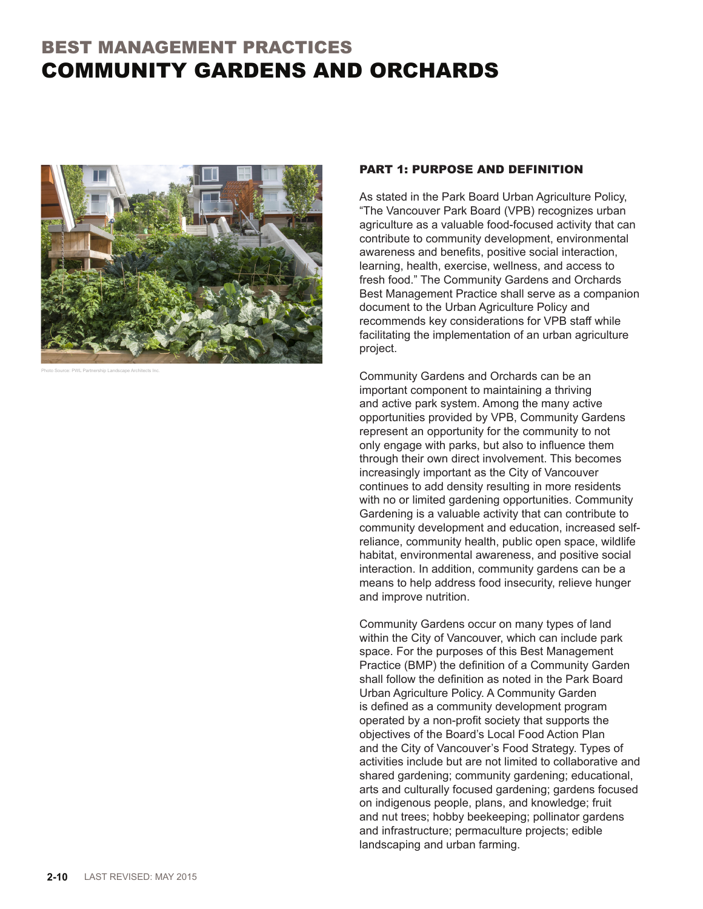# BEST MANAGEMENT PRACTICES COMMUNITY GARDENS AND ORCHARDS



Photo Source: PWL Partnership Landscape Architects Inc.

#### PART 1: PURPOSE AND DEFINITION

As stated in the Park Board Urban Agriculture Policy, "The Vancouver Park Board (VPB) recognizes urban agriculture as a valuable food-focused activity that can contribute to community development, environmental awareness and benefits, positive social interaction, learning, health, exercise, wellness, and access to fresh food." The Community Gardens and Orchards Best Management Practice shall serve as a companion document to the Urban Agriculture Policy and recommends key considerations for VPB staff while facilitating the implementation of an urban agriculture project.

Community Gardens and Orchards can be an important component to maintaining a thriving and active park system. Among the many active opportunities provided by VPB, Community Gardens represent an opportunity for the community to not only engage with parks, but also to influence them through their own direct involvement. This becomes increasingly important as the City of Vancouver continues to add density resulting in more residents with no or limited gardening opportunities. Community Gardening is a valuable activity that can contribute to community development and education, increased selfreliance, community health, public open space, wildlife habitat, environmental awareness, and positive social interaction. In addition, community gardens can be a means to help address food insecurity, relieve hunger and improve nutrition.

Community Gardens occur on many types of land within the City of Vancouver, which can include park space. For the purposes of this Best Management Practice (BMP) the definition of a Community Garden shall follow the definition as noted in the Park Board Urban Agriculture Policy. A Community Garden is defined as a community development program operated by a non-profit society that supports the objectives of the Board's Local Food Action Plan and the City of Vancouver's Food Strategy. Types of activities include but are not limited to collaborative and shared gardening; community gardening; educational, arts and culturally focused gardening; gardens focused on indigenous people, plans, and knowledge; fruit and nut trees; hobby beekeeping; pollinator gardens and infrastructure; permaculture projects; edible landscaping and urban farming.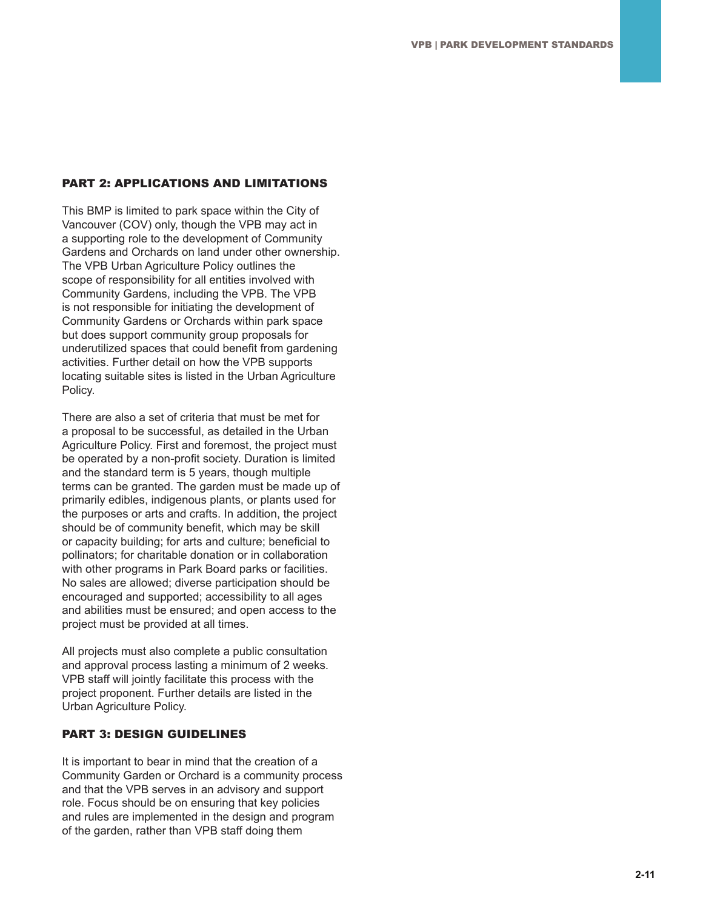### PART 2: APPLICATIONS AND LIMITATIONS

This BMP is limited to park space within the City of Vancouver (COV) only, though the VPB may act in a supporting role to the development of Community Gardens and Orchards on land under other ownership. The VPB Urban Agriculture Policy outlines the scope of responsibility for all entities involved with Community Gardens, including the VPB. The VPB is not responsible for initiating the development of Community Gardens or Orchards within park space but does support community group proposals for underutilized spaces that could benefit from gardening activities. Further detail on how the VPB supports locating suitable sites is listed in the Urban Agriculture Policy.

There are also a set of criteria that must be met for a proposal to be successful, as detailed in the Urban Agriculture Policy. First and foremost, the project must be operated by a non-profit society. Duration is limited and the standard term is 5 years, though multiple terms can be granted. The garden must be made up of primarily edibles, indigenous plants, or plants used for the purposes or arts and crafts. In addition, the project should be of community benefit, which may be skill or capacity building; for arts and culture; beneficial to pollinators; for charitable donation or in collaboration with other programs in Park Board parks or facilities. No sales are allowed; diverse participation should be encouraged and supported; accessibility to all ages and abilities must be ensured; and open access to the project must be provided at all times.

All projects must also complete a public consultation and approval process lasting a minimum of 2 weeks. VPB staff will jointly facilitate this process with the project proponent. Further details are listed in the Urban Agriculture Policy.

#### PART 3: DESIGN GUIDELINES

It is important to bear in mind that the creation of a Community Garden or Orchard is a community process and that the VPB serves in an advisory and support role. Focus should be on ensuring that key policies and rules are implemented in the design and program of the garden, rather than VPB staff doing them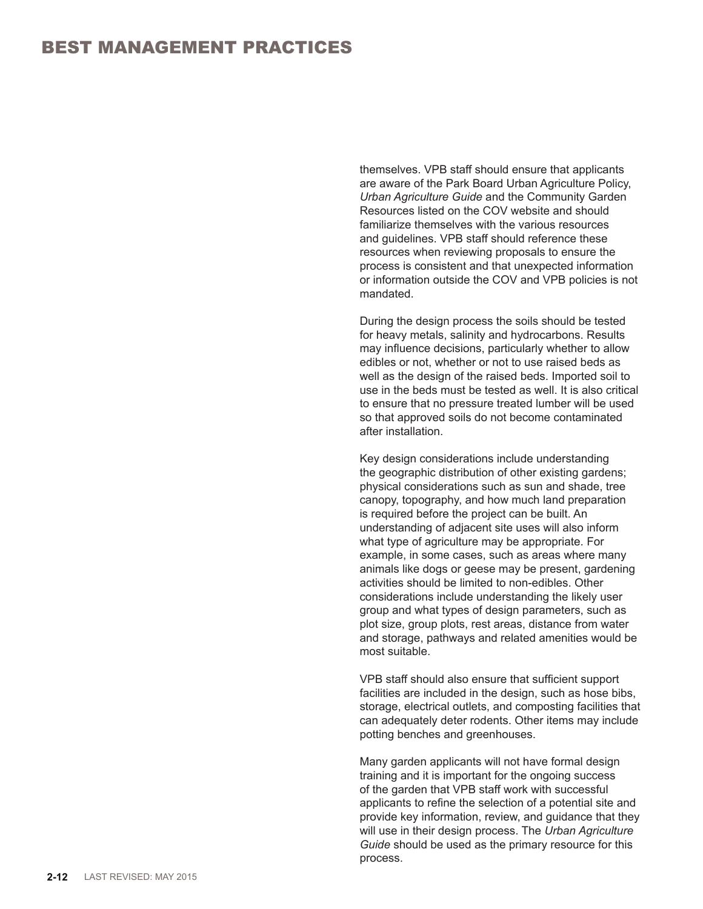themselves. VPB staff should ensure that applicants are aware of the Park Board Urban Agriculture Policy, *Urban Agriculture Guide* and the Community Garden Resources listed on the COV website and should familiarize themselves with the various resources and guidelines. VPB staff should reference these resources when reviewing proposals to ensure the process is consistent and that unexpected information or information outside the COV and VPB policies is not mandated.

During the design process the soils should be tested for heavy metals, salinity and hydrocarbons. Results may influence decisions, particularly whether to allow edibles or not, whether or not to use raised beds as well as the design of the raised beds. Imported soil to use in the beds must be tested as well. It is also critical to ensure that no pressure treated lumber will be used so that approved soils do not become contaminated after installation.

Key design considerations include understanding the geographic distribution of other existing gardens; physical considerations such as sun and shade, tree canopy, topography, and how much land preparation is required before the project can be built. An understanding of adjacent site uses will also inform what type of agriculture may be appropriate. For example, in some cases, such as areas where many animals like dogs or geese may be present, gardening activities should be limited to non-edibles. Other considerations include understanding the likely user group and what types of design parameters, such as plot size, group plots, rest areas, distance from water and storage, pathways and related amenities would be most suitable.

VPB staff should also ensure that sufficient support facilities are included in the design, such as hose bibs, storage, electrical outlets, and composting facilities that can adequately deter rodents. Other items may include potting benches and greenhouses.

Many garden applicants will not have formal design training and it is important for the ongoing success of the garden that VPB staff work with successful applicants to refine the selection of a potential site and provide key information, review, and guidance that they will use in their design process. The *Urban Agriculture Guide* should be used as the primary resource for this process.